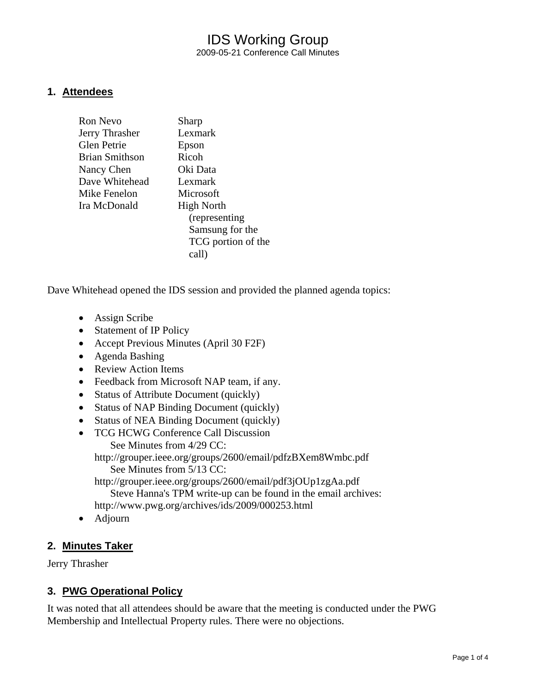## IDS Working Group 2009-05-21 Conference Call Minutes

#### **1. Attendees**

| Ron Nevo       | Sharp              |
|----------------|--------------------|
| Jerry Thrasher | Lexmark            |
| Glen Petrie    | Epson              |
| Brian Smithson | Ricoh              |
| Nancy Chen     | Oki Data           |
| Dave Whitehead | Lexmark            |
| Mike Fenelon   | Microsoft          |
| Ira McDonald   | <b>High North</b>  |
|                | (representing)     |
|                | Samsung for the    |
|                | TCG portion of the |
|                | call)              |
|                |                    |

Dave Whitehead opened the IDS session and provided the planned agenda topics:

- Assign Scribe
- Statement of IP Policy
- Accept Previous Minutes (April 30 F2F)
- Agenda Bashing
- Review Action Items
- Feedback from Microsoft NAP team, if any.
- Status of Attribute Document (quickly)
- Status of NAP Binding Document (quickly)
- Status of NEA Binding Document (quickly)
- TCG HCWG Conference Call Discussion
	- See Minutes from 4/29 CC: http://grouper.ieee.org/groups/2600/email/pdfzBXem8Wmbc.pdf
		- See Minutes from 5/13 CC:

http://grouper.ieee.org/groups/2600/email/pdf3jOUp1zgAa.pdf Steve Hanna's TPM write-up can be found in the email archives:

- http://www.pwg.org/archives/ids/2009/000253.html
- Adjourn

## **2. Minutes Taker**

Jerry Thrasher

## **3. PWG Operational Policy**

It was noted that all attendees should be aware that the meeting is conducted under the PWG Membership and Intellectual Property rules. There were no objections.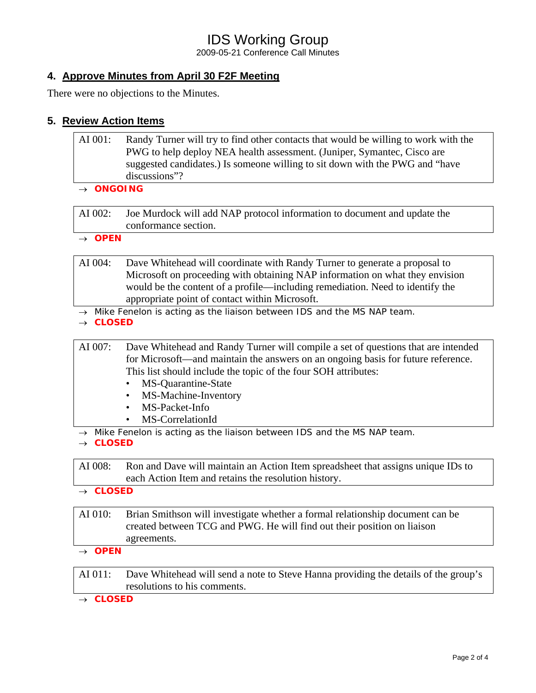# IDS Working Group

2009-05-21 Conference Call Minutes

## **4. Approve Minutes from April 30 F2F Meeting**

There were no objections to the Minutes.

### **5. Review Action Items**

| AI 001: | Randy Turner will try to find other contacts that would be willing to work with the |  |
|---------|-------------------------------------------------------------------------------------|--|
|         | PWG to help deploy NEA health assessment. (Juniper, Symantec, Cisco are             |  |
|         | suggested candidates.) Is someone willing to sit down with the PWG and "have        |  |
|         | discussions"?                                                                       |  |

#### → *ONGOING*

AI 002: Joe Murdock will add NAP protocol information to document and update the conformance section.

→ *OPEN* 

- AI 004: Dave Whitehead will coordinate with Randy Turner to generate a proposal to Microsoft on proceeding with obtaining NAP information on what they envision would be the content of a profile—including remediation. Need to identify the appropriate point of contact within Microsoft.
- → *Mike Fenelon is acting as the liaison between IDS and the MS NAP team.*
- → *CLOSED*

AI 007: Dave Whitehead and Randy Turner will compile a set of questions that are intended for Microsoft—and maintain the answers on an ongoing basis for future reference. This list should include the topic of the four SOH attributes:

- MS-Quarantine-State
- MS-Machine-Inventory
- MS-Packet-Info
- MS-CorrelationId
- → *Mike Fenelon is acting as the liaison between IDS and the MS NAP team.*

→ *CLOSED* 

AI 008: Ron and Dave will maintain an Action Item spreadsheet that assigns unique IDs to each Action Item and retains the resolution history.

→ *CLOSED* 

- AI 010: Brian Smithson will investigate whether a formal relationship document can be created between TCG and PWG. He will find out their position on liaison agreements.
- → *OPEN*

AI 011: Dave Whitehead will send a note to Steve Hanna providing the details of the group's resolutions to his comments.

→ *CLOSED*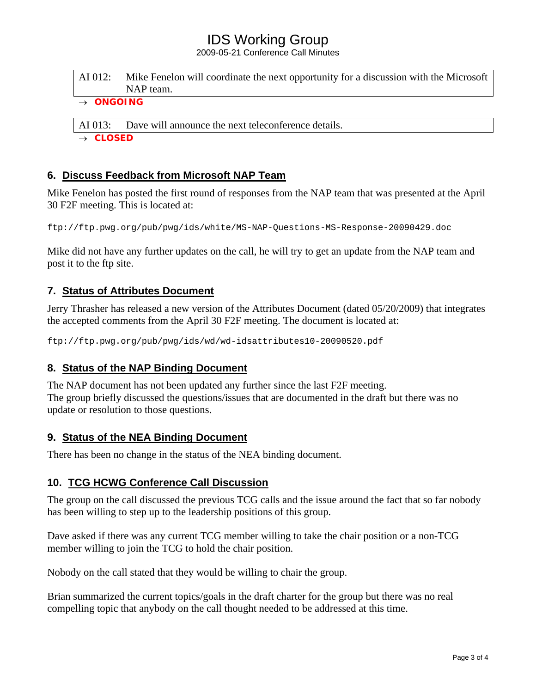## IDS Working Group

2009-05-21 Conference Call Minutes

| $\bigcap_{n} \bigcap_{n} \bigcap_{n} \bigcap_{n} \bigcap_{n} \bigcap_{n} \bigcap_{n} \bigcap_{n} \bigcap_{n} \bigcap_{n} \bigcap_{n} \bigcap_{n} \bigcap_{n} \bigcap_{n} \bigcap_{n} \bigcap_{n} \bigcap_{n} \bigcap_{n} \bigcap_{n} \bigcap_{n} \bigcap_{n} \bigcap_{n} \bigcap_{n} \bigcap_{n} \bigcap_{n} \bigcap_{n} \bigcap_{n} \bigcap_{n} \bigcap_{n} \bigcap_{n} \bigcap_{n} \bigcap_{n} \bigcap_{n} \bigcap_{n} \bigcap_{n} \bigcap_{n} \bigcap_{$ |                                                                                       |
|-------------------------------------------------------------------------------------------------------------------------------------------------------------------------------------------------------------------------------------------------------------------------------------------------------------------------------------------------------------------------------------------------------------------------------------------------------------|---------------------------------------------------------------------------------------|
|                                                                                                                                                                                                                                                                                                                                                                                                                                                             | NAP team.                                                                             |
| AI 012:                                                                                                                                                                                                                                                                                                                                                                                                                                                     | Mike Fenelon will coordinate the next opportunity for a discussion with the Microsoft |

→ *ONGOING* 

AI 013: Dave will announce the next teleconference details.

→ *CLOSED* 

## **6. Discuss Feedback from Microsoft NAP Team**

Mike Fenelon has posted the first round of responses from the NAP team that was presented at the April 30 F2F meeting. This is located at:

ftp://ftp.pwg.org/pub/pwg/ids/white/MS-NAP-Questions-MS-Response-20090429.doc

Mike did not have any further updates on the call, he will try to get an update from the NAP team and post it to the ftp site.

## **7. Status of Attributes Document**

Jerry Thrasher has released a new version of the Attributes Document (dated 05/20/2009) that integrates the accepted comments from the April 30 F2F meeting. The document is located at:

ftp://ftp.pwg.org/pub/pwg/ids/wd/wd-idsattributes10-20090520.pdf

#### **8. Status of the NAP Binding Document**

The NAP document has not been updated any further since the last F2F meeting. The group briefly discussed the questions/issues that are documented in the draft but there was no update or resolution to those questions.

#### **9. Status of the NEA Binding Document**

There has been no change in the status of the NEA binding document.

#### **10. TCG HCWG Conference Call Discussion**

The group on the call discussed the previous TCG calls and the issue around the fact that so far nobody has been willing to step up to the leadership positions of this group.

Dave asked if there was any current TCG member willing to take the chair position or a non-TCG member willing to join the TCG to hold the chair position.

Nobody on the call stated that they would be willing to chair the group.

Brian summarized the current topics/goals in the draft charter for the group but there was no real compelling topic that anybody on the call thought needed to be addressed at this time.